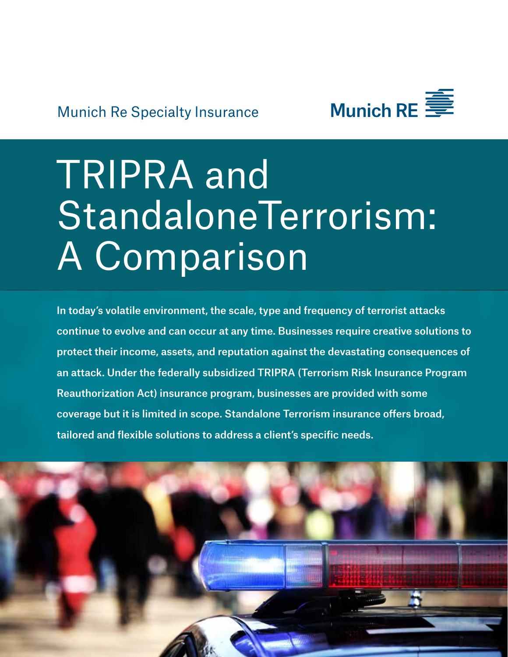

# TRIPRA and StandaloneTerrorism: A Comparison

In today's volatile environment, the scale, type and frequency of terrorist attacks continue to evolve and can occur at any time. Businesses require creative solutions to protect their income, assets, and reputation against the devastating consequences of an attack. Under the federally subsidized TRIPRA (Terrorism Risk Insurance Program Reauthorization Act) insurance program, businesses are provided with some coverage but it is limited in scope. Standalone Terrorism insurance offers broad, tailored and flexible solutions to address a client's specific needs.

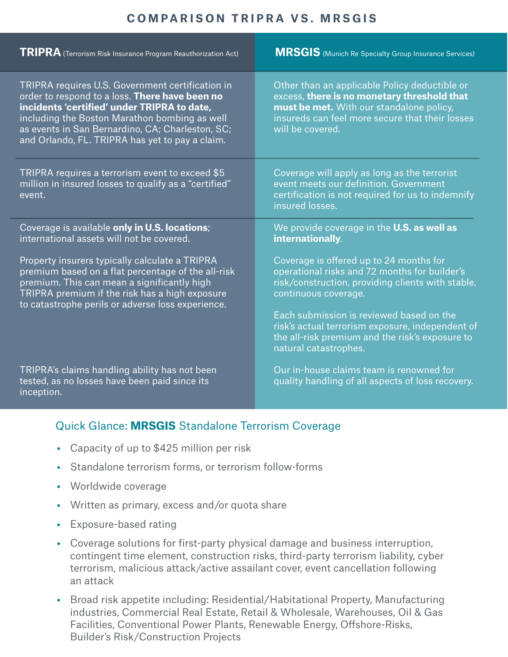## **COMPARISON TRIPRA VS. MRSGIS**

| <b>TRIPRA</b> (Terrorism Risk Insurance Program Reauthorization Act)                                                                                                                                                                                                                                      | <b>MRSGIS</b> (Munich Re Specialty Group Insurance Services)                                                                                                                                                                                                                                                             |
|-----------------------------------------------------------------------------------------------------------------------------------------------------------------------------------------------------------------------------------------------------------------------------------------------------------|--------------------------------------------------------------------------------------------------------------------------------------------------------------------------------------------------------------------------------------------------------------------------------------------------------------------------|
| TRIPRA requires U.S. Government certification in<br>order to respond to a loss. There have been no<br>incidents 'certified' under TRIPRA to date,<br>including the Boston Marathon bombing as well<br>as events in San Bernardino, CA; Charleston, SC;<br>and Orlando, FL. TRIPRA has yet to pay a claim. | Other than an applicable Policy deductible or<br>excess, there is no monetary threshold that<br>must be met. With our standalone policy,<br>insureds can feel more secure that their losses<br>will be covered.                                                                                                          |
| TRIPRA requires a terrorism event to exceed \$5<br>million in insured losses to qualify as a "certified"<br>event.                                                                                                                                                                                        | Coverage will apply as long as the terrorist<br>event meets our definition. Government<br>certification is not required for us to indemnify<br>insured losses.                                                                                                                                                           |
| Coverage is available only in U.S. locations;<br>international assets will not be covered.                                                                                                                                                                                                                | We provide coverage in the U.S. as well as<br>internationally.                                                                                                                                                                                                                                                           |
| Property insurers typically calculate a TRIPRA<br>premium based on a flat percentage of the all-risk<br>premium. This can mean a significantly high<br>TRIPRA premium if the risk has a high exposure<br>to catastrophe perils or adverse loss experience.                                                | Coverage is offered up to 24 months for<br>operational risks and 72 months for builder's<br>risk/construction, providing clients with stable,<br>continuous coverage.<br>Each submission is reviewed based on the<br>risk's actual terrorism exposure, independent of<br>the all-risk premium and the risk's exposure to |
| TRIPRA's claims handling ability has not been                                                                                                                                                                                                                                                             | natural catastrophes.<br>Our in-house claims team is renowned for                                                                                                                                                                                                                                                        |
| tested, as no losses have been paid since its<br>inception.                                                                                                                                                                                                                                               | quality handling of all aspects of loss recovery.                                                                                                                                                                                                                                                                        |

## Quick Glance: **MRSGIS** Standalone Terrorism Coverage

- Capacity of up to \$425 million per risk
- Standalone terrorism forms, or terrorism follow-forms
- Worldwide coverage
- Written as primary, excess and/or quota share
- Exposure-based rating
- Coverage solutions for first-party physical damage and business interruption, contingent time element, construction risks, third-party terrorism liability, cyber terrorism, malicious attack/active assailant cover, event cancellation following an attack
- Broad risk appetite including: Residential/Habitational Property, Manufacturing industries, Commercial Real Estate, Retail & Wholesale, Warehouses, Oil & Gas Facilities, Conventional Power Plants, Renewable Energy, Offshore-Risks, Builder's Risk/Construction Projects